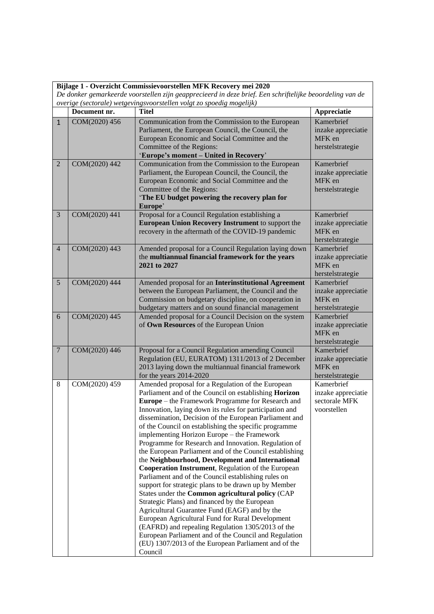| Bijlage 1 - Overzicht Commissievoorstellen MFK Recovery mei 2020                                         |               |                                                                                                                                                                                                                                                                                                                                                                                                                                                                                                                                                                                                                                                                                                                                                                                                                                                                                                                                                                                                                                                                                                                                     |                                                                  |  |  |  |  |
|----------------------------------------------------------------------------------------------------------|---------------|-------------------------------------------------------------------------------------------------------------------------------------------------------------------------------------------------------------------------------------------------------------------------------------------------------------------------------------------------------------------------------------------------------------------------------------------------------------------------------------------------------------------------------------------------------------------------------------------------------------------------------------------------------------------------------------------------------------------------------------------------------------------------------------------------------------------------------------------------------------------------------------------------------------------------------------------------------------------------------------------------------------------------------------------------------------------------------------------------------------------------------------|------------------------------------------------------------------|--|--|--|--|
| De donker gemarkeerde voorstellen zijn geapprecieerd in deze brief. Een schriftelijke beoordeling van de |               |                                                                                                                                                                                                                                                                                                                                                                                                                                                                                                                                                                                                                                                                                                                                                                                                                                                                                                                                                                                                                                                                                                                                     |                                                                  |  |  |  |  |
| overige (sectorale) wetgevingsvoorstellen volgt zo spoedig mogelijk)                                     |               |                                                                                                                                                                                                                                                                                                                                                                                                                                                                                                                                                                                                                                                                                                                                                                                                                                                                                                                                                                                                                                                                                                                                     |                                                                  |  |  |  |  |
|                                                                                                          | Document nr.  | <b>Titel</b>                                                                                                                                                                                                                                                                                                                                                                                                                                                                                                                                                                                                                                                                                                                                                                                                                                                                                                                                                                                                                                                                                                                        | Appreciatie                                                      |  |  |  |  |
| $\mathbf{1}$                                                                                             | COM(2020) 456 | Communication from the Commission to the European<br>Parliament, the European Council, the Council, the<br>European Economic and Social Committee and the<br>Committee of the Regions:<br>'Europe's moment - United in Recovery'                                                                                                                                                                                                                                                                                                                                                                                                                                                                                                                                                                                                                                                                                                                                                                                                                                                                                                    | Kamerbrief<br>inzake appreciatie<br>MFK en<br>herstelstrategie   |  |  |  |  |
| $\overline{2}$                                                                                           | COM(2020) 442 | Communication from the Commission to the European<br>Parliament, the European Council, the Council, the<br>European Economic and Social Committee and the<br>Committee of the Regions:<br>'The EU budget powering the recovery plan for<br>Europe'                                                                                                                                                                                                                                                                                                                                                                                                                                                                                                                                                                                                                                                                                                                                                                                                                                                                                  | Kamerbrief<br>inzake appreciatie<br>MFK en<br>herstelstrategie   |  |  |  |  |
| 3                                                                                                        | COM(2020) 441 | Proposal for a Council Regulation establishing a<br>European Union Recovery Instrument to support the<br>recovery in the aftermath of the COVID-19 pandemic                                                                                                                                                                                                                                                                                                                                                                                                                                                                                                                                                                                                                                                                                                                                                                                                                                                                                                                                                                         | Kamerbrief<br>inzake appreciatie<br>MFK en<br>herstelstrategie   |  |  |  |  |
| $\overline{4}$                                                                                           | COM(2020) 443 | Amended proposal for a Council Regulation laying down<br>the multiannual financial framework for the years<br>2021 to 2027                                                                                                                                                                                                                                                                                                                                                                                                                                                                                                                                                                                                                                                                                                                                                                                                                                                                                                                                                                                                          | Kamerbrief<br>inzake appreciatie<br>MFK en<br>herstelstrategie   |  |  |  |  |
| 5                                                                                                        | COM(2020) 444 | Amended proposal for an Interinstitutional Agreement<br>between the European Parliament, the Council and the<br>Commission on budgetary discipline, on cooperation in<br>budgetary matters and on sound financial management                                                                                                                                                                                                                                                                                                                                                                                                                                                                                                                                                                                                                                                                                                                                                                                                                                                                                                        | Kamerbrief<br>inzake appreciatie<br>MFK en<br>herstelstrategie   |  |  |  |  |
| 6                                                                                                        | COM(2020) 445 | Amended proposal for a Council Decision on the system<br>of Own Resources of the European Union                                                                                                                                                                                                                                                                                                                                                                                                                                                                                                                                                                                                                                                                                                                                                                                                                                                                                                                                                                                                                                     | Kamerbrief<br>inzake appreciatie<br>MFK en<br>herstelstrategie   |  |  |  |  |
| $\overline{7}$                                                                                           | COM(2020) 446 | Proposal for a Council Regulation amending Council<br>Regulation (EU, EURATOM) 1311/2013 of 2 December<br>2013 laying down the multiannual financial framework<br>for the years $2014-2020$                                                                                                                                                                                                                                                                                                                                                                                                                                                                                                                                                                                                                                                                                                                                                                                                                                                                                                                                         | Kamerbrief<br>inzake appreciatie<br>MFK en<br>herstelstrategie   |  |  |  |  |
| 8                                                                                                        | COM(2020) 459 | Amended proposal for a Regulation of the European<br>Parliament and of the Council on establishing Horizon<br>Europe – the Framework Programme for Research and<br>Innovation, laying down its rules for participation and<br>dissemination, Decision of the European Parliament and<br>of the Council on establishing the specific programme<br>implementing Horizon Europe – the Framework<br>Programme for Research and Innovation. Regulation of<br>the European Parliament and of the Council establishing<br>the Neighbourhood, Development and International<br>Cooperation Instrument, Regulation of the European<br>Parliament and of the Council establishing rules on<br>support for strategic plans to be drawn up by Member<br>States under the Common agricultural policy (CAP<br>Strategic Plans) and financed by the European<br>Agricultural Guarantee Fund (EAGF) and by the<br>European Agricultural Fund for Rural Development<br>(EAFRD) and repealing Regulation 1305/2013 of the<br>European Parliament and of the Council and Regulation<br>(EU) 1307/2013 of the European Parliament and of the<br>Council | Kamerbrief<br>inzake appreciatie<br>sectorale MFK<br>voorstellen |  |  |  |  |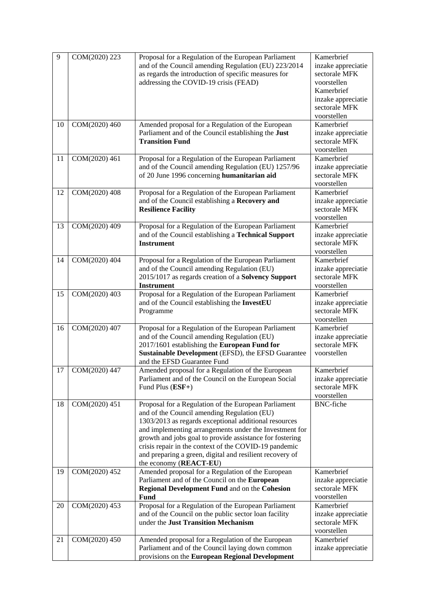| 9  | COM(2020) 223 | Proposal for a Regulation of the European Parliament                                                | Kamerbrief                |
|----|---------------|-----------------------------------------------------------------------------------------------------|---------------------------|
|    |               | and of the Council amending Regulation (EU) 223/2014                                                | inzake appreciatie        |
|    |               | as regards the introduction of specific measures for                                                | sectorale MFK             |
|    |               | addressing the COVID-19 crisis (FEAD)                                                               | voorstellen               |
|    |               |                                                                                                     | Kamerbrief                |
|    |               |                                                                                                     | inzake appreciatie        |
|    |               |                                                                                                     | sectorale MFK             |
|    |               |                                                                                                     | voorstellen               |
| 10 | COM(2020) 460 | Amended proposal for a Regulation of the European                                                   | Kamerbrief                |
|    |               | Parliament and of the Council establishing the Just                                                 | inzake appreciatie        |
|    |               | <b>Transition Fund</b>                                                                              | sectorale MFK             |
|    |               |                                                                                                     | voorstellen               |
| 11 | COM(2020) 461 | Proposal for a Regulation of the European Parliament                                                | Kamerbrief                |
|    |               | and of the Council amending Regulation (EU) 1257/96                                                 | inzake appreciatie        |
|    |               | of 20 June 1996 concerning humanitarian aid                                                         | sectorale MFK             |
|    |               |                                                                                                     | voorstellen               |
| 12 | COM(2020) 408 | Proposal for a Regulation of the European Parliament                                                | Kamerbrief                |
|    |               | and of the Council establishing a Recovery and                                                      | inzake appreciatie        |
|    |               | <b>Resilience Facility</b>                                                                          | sectorale MFK             |
|    |               |                                                                                                     | voorstellen               |
| 13 | COM(2020) 409 | Proposal for a Regulation of the European Parliament                                                | Kamerbrief                |
|    |               | and of the Council establishing a Technical Support                                                 | inzake appreciatie        |
|    |               | <b>Instrument</b>                                                                                   | sectorale MFK             |
|    |               |                                                                                                     | voorstellen               |
| 14 | COM(2020) 404 | Proposal for a Regulation of the European Parliament                                                | Kamerbrief                |
|    |               | and of the Council amending Regulation (EU)                                                         | inzake appreciatie        |
|    |               | 2015/1017 as regards creation of a Solvency Support                                                 | sectorale MFK             |
|    |               | <b>Instrument</b>                                                                                   | voorstellen               |
| 15 | COM(2020) 403 | Proposal for a Regulation of the European Parliament                                                | Kamerbrief                |
|    |               | and of the Council establishing the InvestEU                                                        | inzake appreciatie        |
|    |               | Programme                                                                                           | sectorale MFK             |
|    | COM(2020) 407 |                                                                                                     | voorstellen<br>Kamerbrief |
| 16 |               | Proposal for a Regulation of the European Parliament<br>and of the Council amending Regulation (EU) | inzake appreciatie        |
|    |               | 2017/1601 establishing the European Fund for                                                        | sectorale MFK             |
|    |               | Sustainable Development (EFSD), the EFSD Guarantee                                                  | voorstellen               |
|    |               | and the EFSD Guarantee Fund                                                                         |                           |
| 17 | COM(2020) 447 | Amended proposal for a Regulation of the European                                                   | Kamerbrief                |
|    |               | Parliament and of the Council on the European Social                                                | inzake appreciatie        |
|    |               | Fund Plus $(ESF+)$                                                                                  | sectorale MFK             |
|    |               |                                                                                                     | voorstellen               |
| 18 | COM(2020) 451 | Proposal for a Regulation of the European Parliament                                                | <b>BNC-fiche</b>          |
|    |               | and of the Council amending Regulation (EU)                                                         |                           |
|    |               | 1303/2013 as regards exceptional additional resources                                               |                           |
|    |               | and implementing arrangements under the Investment for                                              |                           |
|    |               | growth and jobs goal to provide assistance for fostering                                            |                           |
|    |               | crisis repair in the context of the COVID-19 pandemic                                               |                           |
|    |               | and preparing a green, digital and resilient recovery of                                            |                           |
|    |               | the economy (REACT-EU)                                                                              |                           |
| 19 | COM(2020) 452 | Amended proposal for a Regulation of the European                                                   | Kamerbrief                |
|    |               | Parliament and of the Council on the European                                                       | inzake appreciatie        |
|    |               | <b>Regional Development Fund and on the Cohesion</b>                                                | sectorale MFK             |
|    |               | <b>Fund</b>                                                                                         | voorstellen               |
| 20 | COM(2020) 453 | Proposal for a Regulation of the European Parliament                                                | Kamerbrief                |
|    |               | and of the Council on the public sector loan facility                                               | inzake appreciatie        |
|    |               | under the Just Transition Mechanism                                                                 | sectorale MFK             |
|    |               |                                                                                                     | voorstellen               |
| 21 | COM(2020) 450 | Amended proposal for a Regulation of the European                                                   | Kamerbrief                |
|    |               | Parliament and of the Council laying down common                                                    | inzake appreciatie        |
|    |               | provisions on the European Regional Development                                                     |                           |